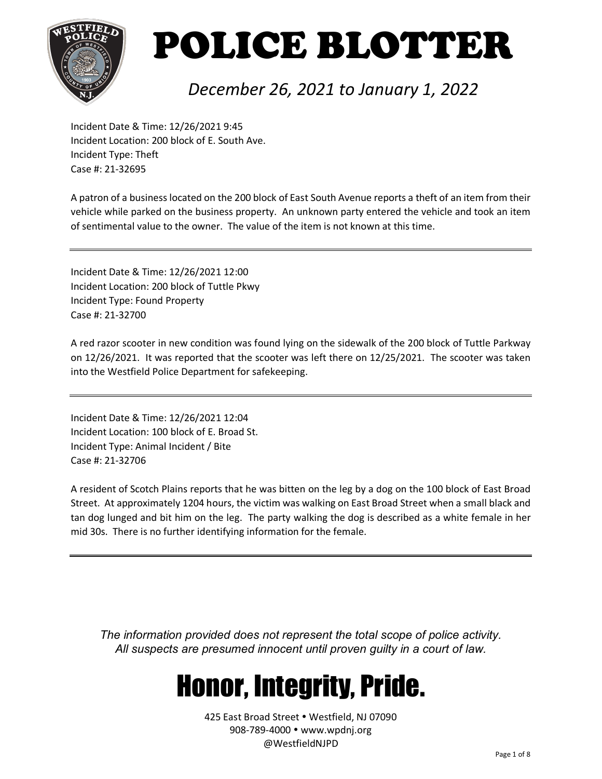

#### *December 26, 2021 to January 1, 2022*

Incident Date & Time: 12/26/2021 9:45 Incident Location: 200 block of E. South Ave. Incident Type: Theft Case #: 21-32695

A patron of a business located on the 200 block of East South Avenue reports a theft of an item from their vehicle while parked on the business property. An unknown party entered the vehicle and took an item of sentimental value to the owner. The value of the item is not known at this time.

Incident Date & Time: 12/26/2021 12:00 Incident Location: 200 block of Tuttle Pkwy Incident Type: Found Property Case #: 21-32700

A red razor scooter in new condition was found lying on the sidewalk of the 200 block of Tuttle Parkway on 12/26/2021. It was reported that the scooter was left there on 12/25/2021. The scooter was taken into the Westfield Police Department for safekeeping.

Incident Date & Time: 12/26/2021 12:04 Incident Location: 100 block of E. Broad St. Incident Type: Animal Incident / Bite Case #: 21-32706

A resident of Scotch Plains reports that he was bitten on the leg by a dog on the 100 block of East Broad Street. At approximately 1204 hours, the victim was walking on East Broad Street when a small black and tan dog lunged and bit him on the leg. The party walking the dog is described as a white female in her mid 30s. There is no further identifying information for the female.

*The information provided does not represent the total scope of police activity. All suspects are presumed innocent until proven guilty in a court of law.*

### Honor, Integrity, Pride.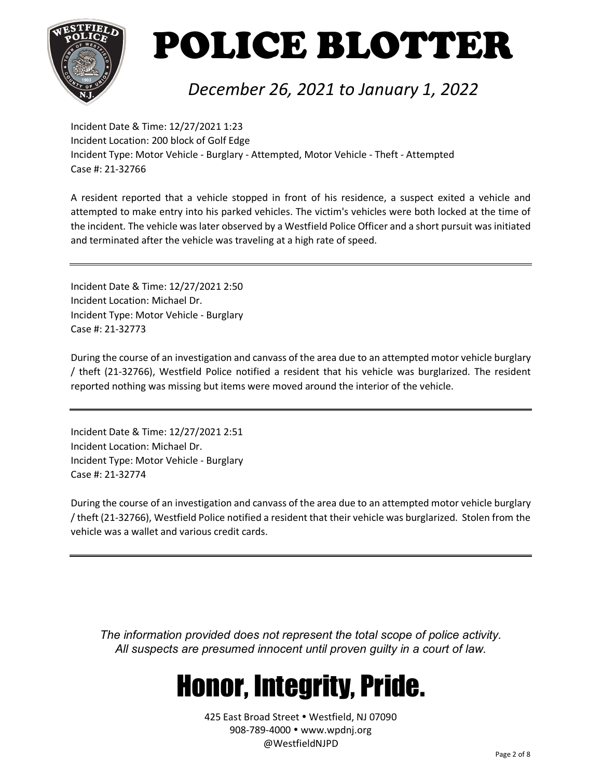

#### *December 26, 2021 to January 1, 2022*

Incident Date & Time: 12/27/2021 1:23 Incident Location: 200 block of Golf Edge Incident Type: Motor Vehicle - Burglary - Attempted, Motor Vehicle - Theft - Attempted Case #: 21-32766

A resident reported that a vehicle stopped in front of his residence, a suspect exited a vehicle and attempted to make entry into his parked vehicles. The victim's vehicles were both locked at the time of the incident. The vehicle was later observed by a Westfield Police Officer and a short pursuit was initiated and terminated after the vehicle was traveling at a high rate of speed.

Incident Date & Time: 12/27/2021 2:50 Incident Location: Michael Dr. Incident Type: Motor Vehicle - Burglary Case #: 21-32773

During the course of an investigation and canvass of the area due to an attempted motor vehicle burglary / theft (21-32766), Westfield Police notified a resident that his vehicle was burglarized. The resident reported nothing was missing but items were moved around the interior of the vehicle.

Incident Date & Time: 12/27/2021 2:51 Incident Location: Michael Dr. Incident Type: Motor Vehicle - Burglary Case #: 21-32774

During the course of an investigation and canvass of the area due to an attempted motor vehicle burglary / theft (21-32766), Westfield Police notified a resident that their vehicle was burglarized. Stolen from the vehicle was a wallet and various credit cards.

*The information provided does not represent the total scope of police activity. All suspects are presumed innocent until proven guilty in a court of law.*

### Honor, Integrity, Pride.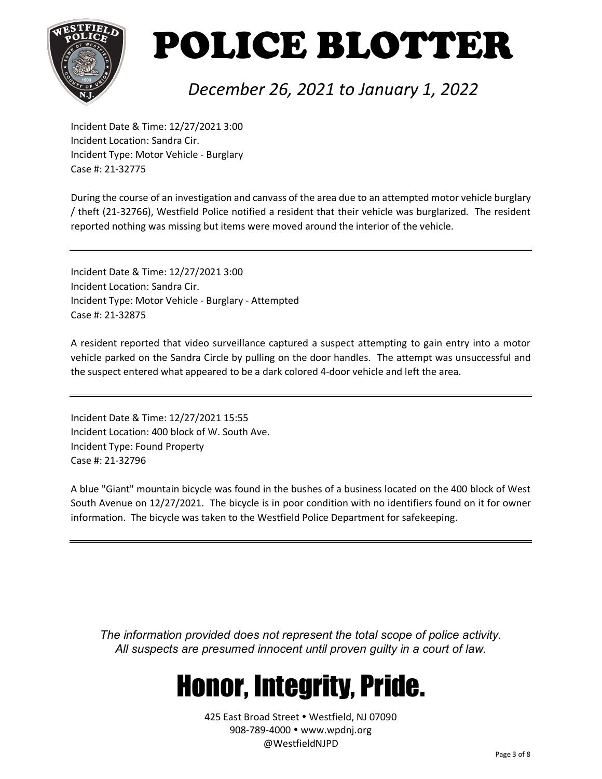

#### *December 26, 2021 to January 1, 2022*

Incident Date & Time: 12/27/2021 3:00 Incident Location: Sandra Cir. Incident Type: Motor Vehicle - Burglary Case #: 21-32775

During the course of an investigation and canvass of the area due to an attempted motor vehicle burglary / theft (21-32766), Westfield Police notified a resident that their vehicle was burglarized. The resident reported nothing was missing but items were moved around the interior of the vehicle.

Incident Date & Time: 12/27/2021 3:00 Incident Location: Sandra Cir. Incident Type: Motor Vehicle - Burglary - Attempted Case #: 21-32875

A resident reported that video surveillance captured a suspect attempting to gain entry into a motor vehicle parked on the Sandra Circle by pulling on the door handles. The attempt was unsuccessful and the suspect entered what appeared to be a dark colored 4-door vehicle and left the area.

Incident Date & Time: 12/27/2021 15:55 Incident Location: 400 block of W. South Ave. Incident Type: Found Property Case #: 21-32796

A blue "Giant" mountain bicycle was found in the bushes of a business located on the 400 block of West South Avenue on 12/27/2021. The bicycle is in poor condition with no identifiers found on it for owner information. The bicycle was taken to the Westfield Police Department for safekeeping.

*The information provided does not represent the total scope of police activity. All suspects are presumed innocent until proven guilty in a court of law.*

### Honor, Integrity, Pride.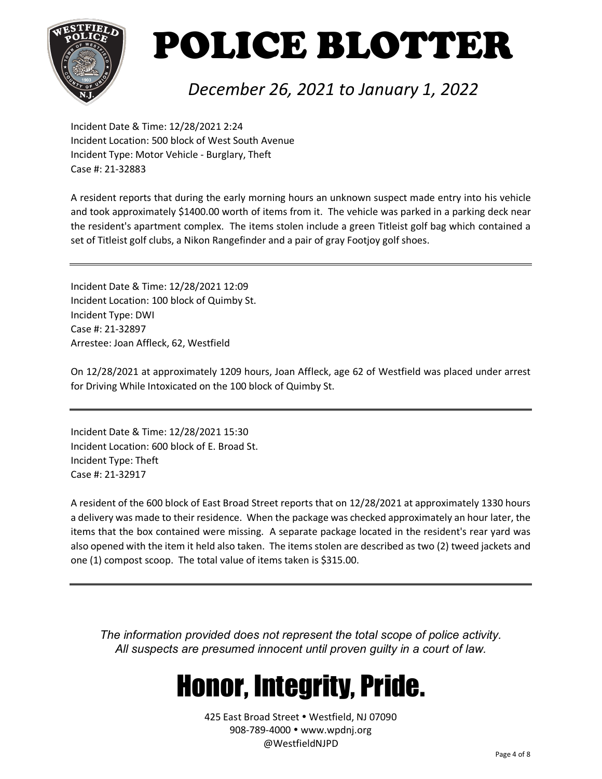

#### *December 26, 2021 to January 1, 2022*

Incident Date & Time: 12/28/2021 2:24 Incident Location: 500 block of West South Avenue Incident Type: Motor Vehicle - Burglary, Theft Case #: 21-32883

A resident reports that during the early morning hours an unknown suspect made entry into his vehicle and took approximately \$1400.00 worth of items from it. The vehicle was parked in a parking deck near the resident's apartment complex. The items stolen include a green Titleist golf bag which contained a set of Titleist golf clubs, a Nikon Rangefinder and a pair of gray Footjoy golf shoes.

Incident Date & Time: 12/28/2021 12:09 Incident Location: 100 block of Quimby St. Incident Type: DWI Case #: 21-32897 Arrestee: Joan Affleck, 62, Westfield

On 12/28/2021 at approximately 1209 hours, Joan Affleck, age 62 of Westfield was placed under arrest for Driving While Intoxicated on the 100 block of Quimby St.

Incident Date & Time: 12/28/2021 15:30 Incident Location: 600 block of E. Broad St. Incident Type: Theft Case #: 21-32917

A resident of the 600 block of East Broad Street reports that on 12/28/2021 at approximately 1330 hours a delivery was made to their residence. When the package was checked approximately an hour later, the items that the box contained were missing. A separate package located in the resident's rear yard was also opened with the item it held also taken. The items stolen are described as two (2) tweed jackets and one (1) compost scoop. The total value of items taken is \$315.00.

*The information provided does not represent the total scope of police activity. All suspects are presumed innocent until proven guilty in a court of law.*

### Honor, Integrity, Pride.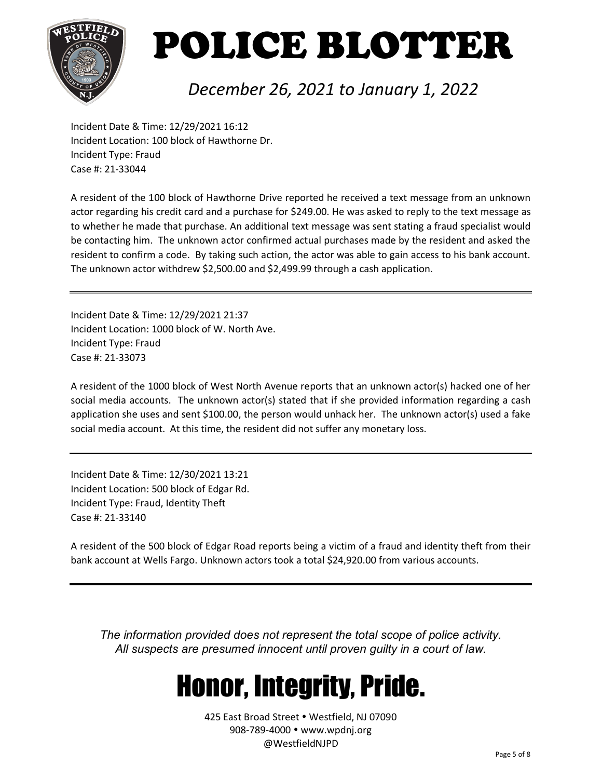

#### *December 26, 2021 to January 1, 2022*

Incident Date & Time: 12/29/2021 16:12 Incident Location: 100 block of Hawthorne Dr. Incident Type: Fraud Case #: 21-33044

A resident of the 100 block of Hawthorne Drive reported he received a text message from an unknown actor regarding his credit card and a purchase for \$249.00. He was asked to reply to the text message as to whether he made that purchase. An additional text message was sent stating a fraud specialist would be contacting him. The unknown actor confirmed actual purchases made by the resident and asked the resident to confirm a code. By taking such action, the actor was able to gain access to his bank account. The unknown actor withdrew \$2,500.00 and \$2,499.99 through a cash application.

Incident Date & Time: 12/29/2021 21:37 Incident Location: 1000 block of W. North Ave. Incident Type: Fraud Case #: 21-33073

A resident of the 1000 block of West North Avenue reports that an unknown actor(s) hacked one of her social media accounts. The unknown actor(s) stated that if she provided information regarding a cash application she uses and sent \$100.00, the person would unhack her. The unknown actor(s) used a fake social media account. At this time, the resident did not suffer any monetary loss.

Incident Date & Time: 12/30/2021 13:21 Incident Location: 500 block of Edgar Rd. Incident Type: Fraud, Identity Theft Case #: 21-33140

A resident of the 500 block of Edgar Road reports being a victim of a fraud and identity theft from their bank account at Wells Fargo. Unknown actors took a total \$24,920.00 from various accounts.

*The information provided does not represent the total scope of police activity. All suspects are presumed innocent until proven guilty in a court of law.*

### Honor, Integrity, Pride.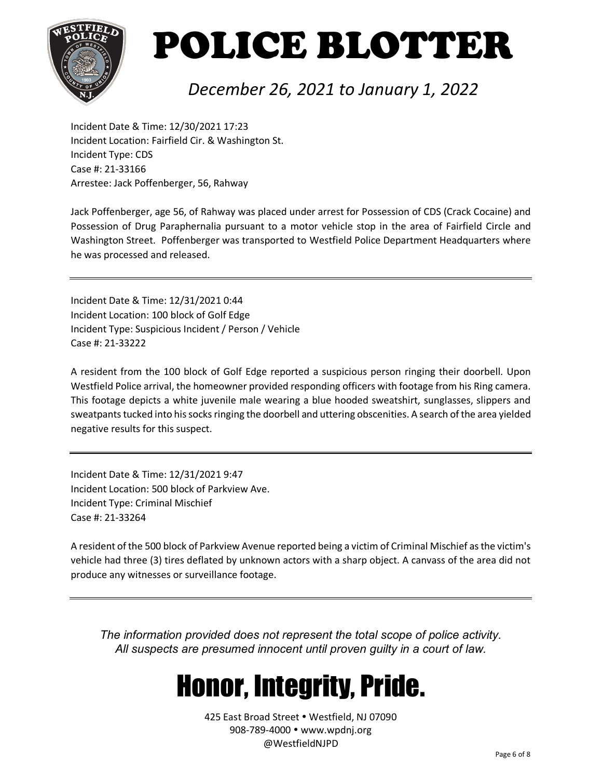

#### *December 26, 2021 to January 1, 2022*

Incident Date & Time: 12/30/2021 17:23 Incident Location: Fairfield Cir. & Washington St. Incident Type: CDS Case #: 21-33166 Arrestee: Jack Poffenberger, 56, Rahway

Jack Poffenberger, age 56, of Rahway was placed under arrest for Possession of CDS (Crack Cocaine) and Possession of Drug Paraphernalia pursuant to a motor vehicle stop in the area of Fairfield Circle and Washington Street. Poffenberger was transported to Westfield Police Department Headquarters where he was processed and released.

Incident Date & Time: 12/31/2021 0:44 Incident Location: 100 block of Golf Edge Incident Type: Suspicious Incident / Person / Vehicle Case #: 21-33222

A resident from the 100 block of Golf Edge reported a suspicious person ringing their doorbell. Upon Westfield Police arrival, the homeowner provided responding officers with footage from his Ring camera. This footage depicts a white juvenile male wearing a blue hooded sweatshirt, sunglasses, slippers and sweatpants tucked into his socks ringing the doorbell and uttering obscenities. A search of the area yielded negative results for this suspect.

Incident Date & Time: 12/31/2021 9:47 Incident Location: 500 block of Parkview Ave. Incident Type: Criminal Mischief Case #: 21-33264

A resident of the 500 block of Parkview Avenue reported being a victim of Criminal Mischief asthe victim's vehicle had three (3) tires deflated by unknown actors with a sharp object. A canvass of the area did not produce any witnesses or surveillance footage.

*The information provided does not represent the total scope of police activity. All suspects are presumed innocent until proven guilty in a court of law.*

### Honor, Integrity, Pride.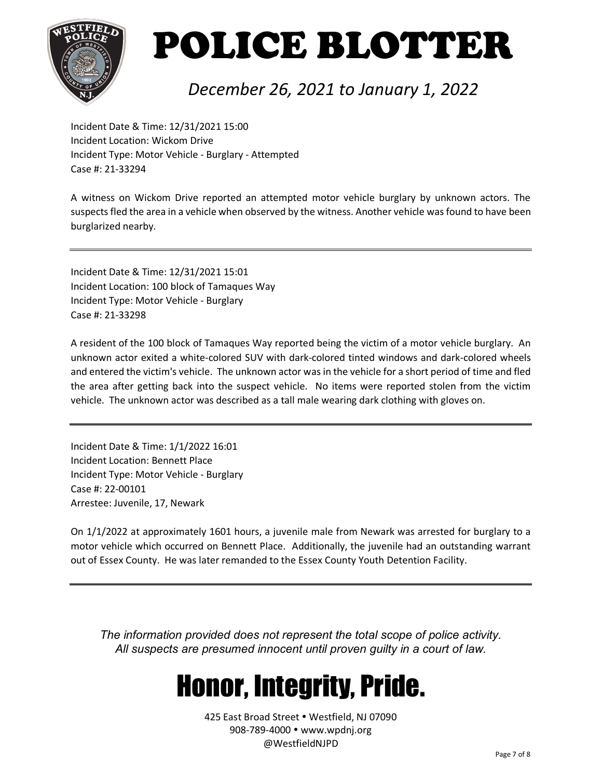

#### *December 26, 2021 to January 1, 2022*

Incident Date & Time: 12/31/2021 15:00 Incident Location: Wickom Drive Incident Type: Motor Vehicle - Burglary - Attempted Case #: 21-33294

A witness on Wickom Drive reported an attempted motor vehicle burglary by unknown actors. The suspects fled the area in a vehicle when observed by the witness. Another vehicle was found to have been burglarized nearby.

Incident Date & Time: 12/31/2021 15:01 Incident Location: 100 block of Tamaques Way Incident Type: Motor Vehicle - Burglary Case #: 21-33298

A resident of the 100 block of Tamaques Way reported being the victim of a motor vehicle burglary. An unknown actor exited a white-colored SUV with dark-colored tinted windows and dark-colored wheels and entered the victim's vehicle. The unknown actor was in the vehicle for a short period of time and fled the area after getting back into the suspect vehicle. No items were reported stolen from the victim vehicle. The unknown actor was described as a tall male wearing dark clothing with gloves on.

Incident Date & Time: 1/1/2022 16:01 Incident Location: Bennett Place Incident Type: Motor Vehicle - Burglary Case #: 22-00101 Arrestee: Juvenile, 17, Newark

On 1/1/2022 at approximately 1601 hours, a juvenile male from Newark was arrested for burglary to a motor vehicle which occurred on Bennett Place. Additionally, the juvenile had an outstanding warrant out of Essex County. He was later remanded to the Essex County Youth Detention Facility.

*The information provided does not represent the total scope of police activity. All suspects are presumed innocent until proven guilty in a court of law.*

### Honor, Integrity, Pride.